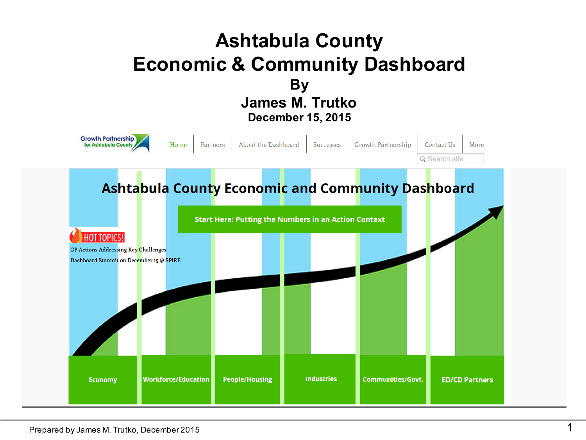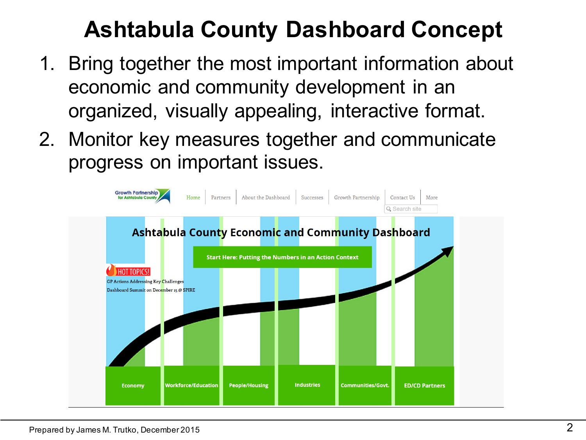# **Ashtabula County Dashboard Concept**

- 1. Bring together the most important information about economic and community development in an organized, visually appealing, interactive format.
- 2. Monitor key measures together and communicate progress on important issues.

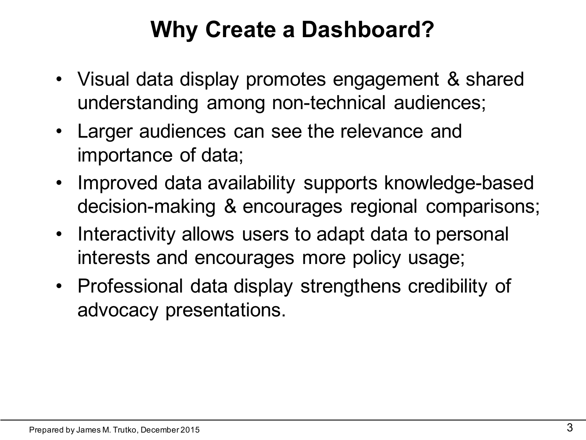#### **Why Create a Dashboard?**

- Visual data display promotes engagement & shared understanding among non-technical audiences;
- Larger audiences can see the relevance and importance of data;
- Improved data availability supports knowledge-based decision-making & encourages regional comparisons;
- Interactivity allows users to adapt data to personal interests and encourages more policy usage;
- Professional data display strengthens credibility of advocacy presentations.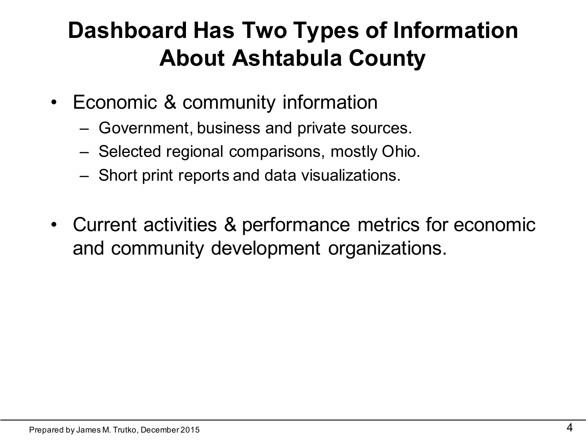# **Dashboard Has Two Types of Information About Ashtabula County**

- Economic & community information
	- Government, business and private sources.
	- Selected regional comparisons, mostly Ohio.
	- Short print reports and data visualizations.
- Current activities & performance metrics for economic and community development organizations.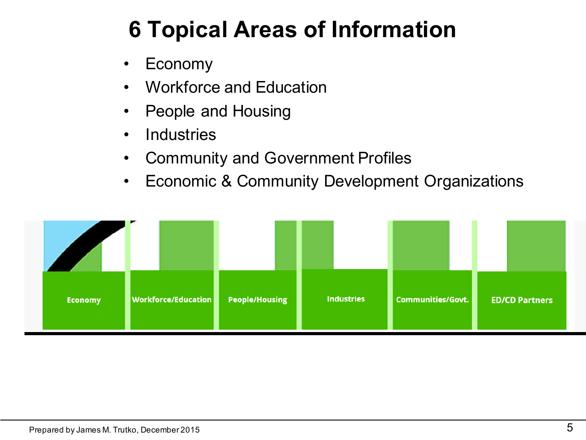# **6 Topical Areas of Information**

- **Economy**
- Workforce and Education
- People and Housing
- Industries
- Community and Government Profiles
- Economic & Community Development Organizations

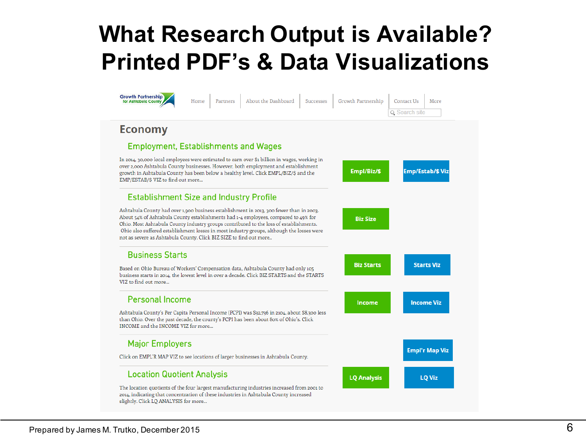### **What Research Output is Available? Printed PDF's & Data Visualizations**

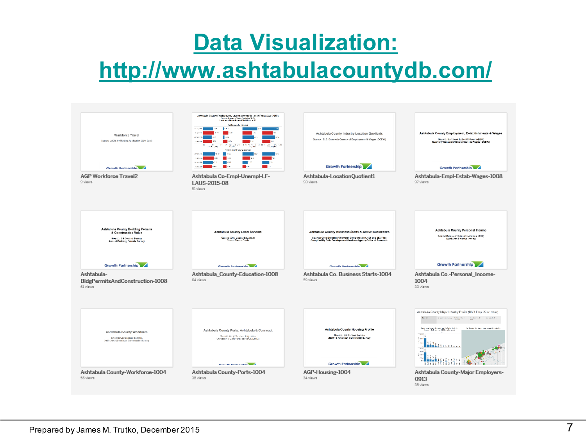#### **Data Visualization:**

#### **http://www.ashtabulacountydb.com/**

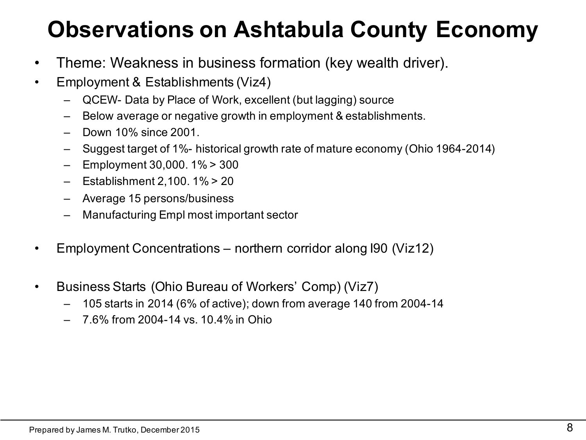# **Observations on Ashtabula County Economy**

- Theme: Weakness in business formation (key wealth driver).
- Employment & Establishments (Viz4)
	- QCEW- Data by Place of Work, excellent (but lagging) source
	- Below average or negative growth in employment & establishments.
	- Down 10% since 2001.
	- Suggest target of 1%- historical growth rate of mature economy (Ohio 1964-2014)
	- Employment 30,000. 1% > 300
	- Establishment 2,100. 1% > 20
	- Average 15 persons/business
	- Manufacturing Empl most important sector
- Employment Concentrations northern corridor along I90 (Viz12)
- Business Starts (Ohio Bureau of Workers' Comp) (Viz7)
	- 105 starts in 2014 (6% of active); down from average 140 from 2004-14
	- 7.6% from 2004-14 vs. 10.4% in Ohio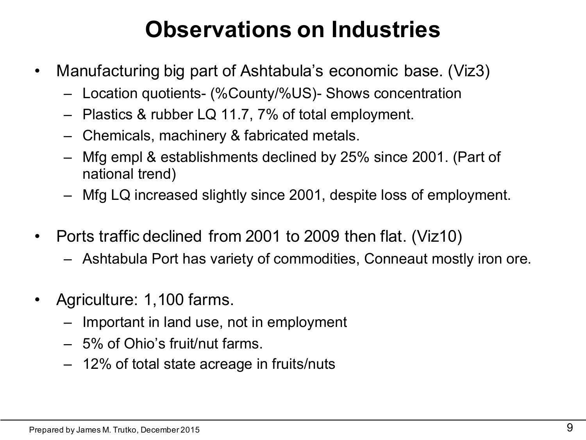## **Observations on Industries**

- Manufacturing big part of Ashtabula's economic base. (Viz3)
	- Location quotients- (%County/%US)- Shows concentration
	- Plastics & rubber LQ 11.7, 7% of total employment.
	- Chemicals, machinery & fabricated metals.
	- Mfg empl & establishments declined by 25% since 2001. (Part of national trend)
	- Mfg LQ increased slightly since 2001, despite loss of employment.
- Ports traffic declined from 2001 to 2009 then flat. (Viz10)
	- Ashtabula Port has variety of commodities, Conneaut mostly iron ore.
- Agriculture: 1,100 farms.
	- Important in land use, not in employment
	- 5% of Ohio's fruit/nut farms.
	- 12% of total state acreage in fruits/nuts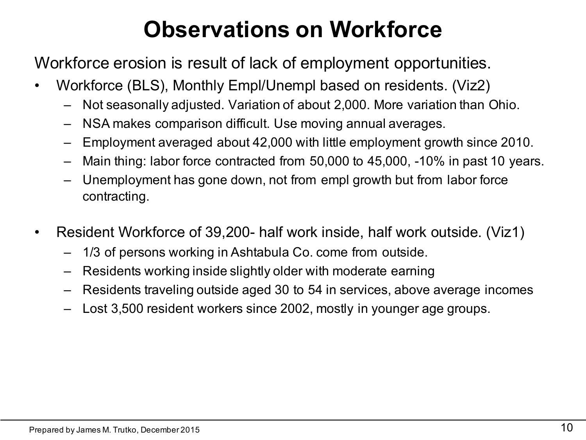# **Observations on Workforce**

Workforce erosion is result of lack of employment opportunities.

- Workforce (BLS), Monthly Empl/Unempl based on residents. (Viz2)
	- Not seasonally adjusted. Variation of about 2,000. More variation than Ohio.
	- NSA makes comparison difficult. Use moving annual averages.
	- Employment averaged about 42,000 with little employment growth since 2010.
	- Main thing: labor force contracted from 50,000 to 45,000, -10% in past 10 years.
	- Unemployment has gone down, not from empl growth but from labor force contracting.
- Resident Workforce of 39,200- half work inside, half work outside. (Viz1)
	- 1/3 of persons working in Ashtabula Co. come from outside.
	- Residents working inside slightly older with moderate earning
	- Residents traveling outside aged 30 to 54 in services, above average incomes
	- Lost 3,500 resident workers since 2002, mostly in younger age groups.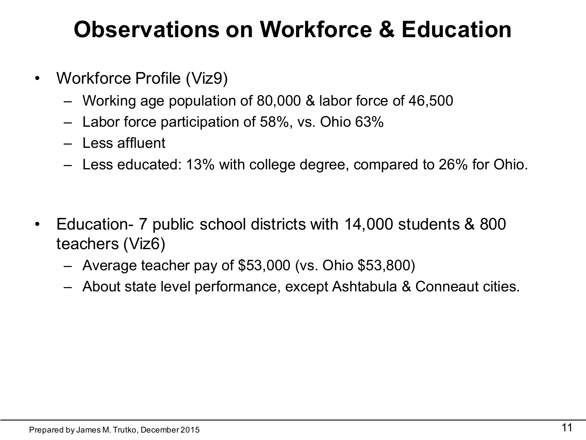#### **Observations on Workforce & Education**

- Workforce Profile (Viz9)
	- Working age population of 80,000 & labor force of 46,500
	- Labor force participation of 58%, vs. Ohio 63%
	- Less affluent
	- Less educated: 13% with college degree, compared to 26% for Ohio.
- Education- 7 public school districts with 14,000 students & 800 teachers (Viz6)
	- Average teacher pay of \$53,000 (vs. Ohio \$53,800)
	- About state level performance, except Ashtabula & Conneaut cities.